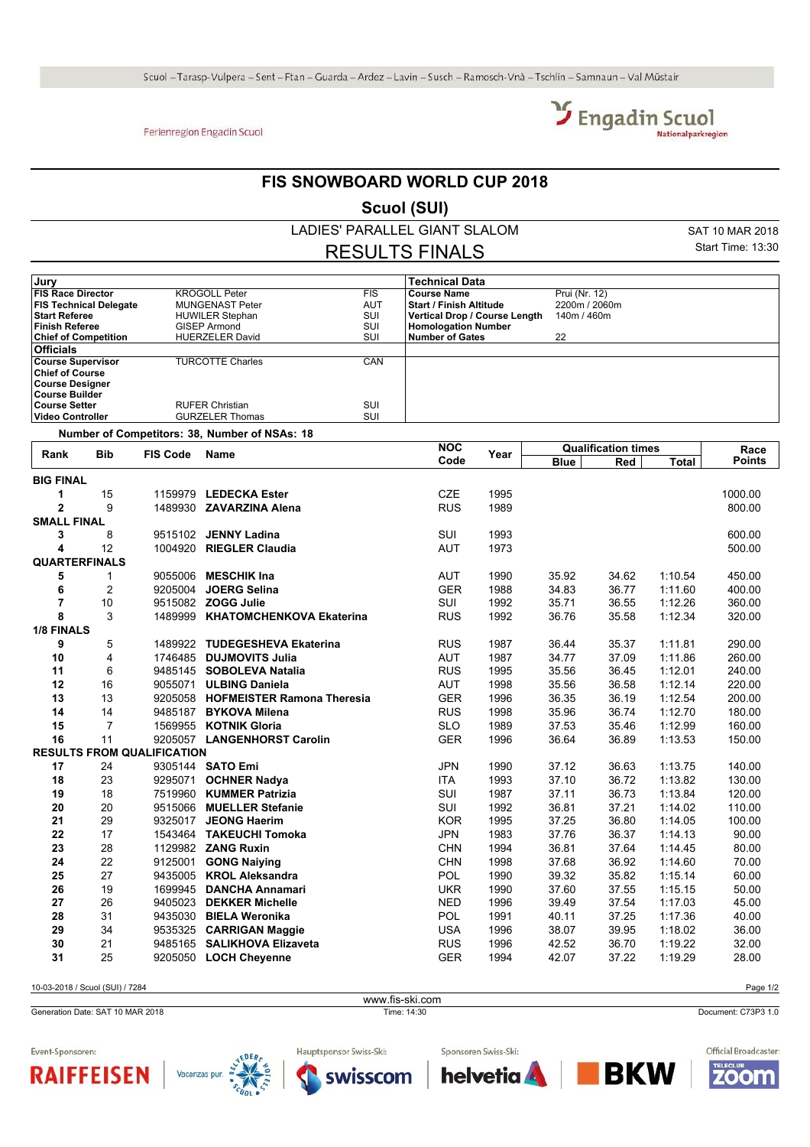## Ferienregion Engadin Scuol



## **FIS SNOWBOARD WORLD CUP 2018**

**Scuol (SUI)**

LADIES' PARALLEL GIANT SLALOM

RESULTS FINALS

SAT 10 MAR 2018 Start Time: 13:30

| Jury                          |                                               |            | <b>Technical Data</b>          |               |  |
|-------------------------------|-----------------------------------------------|------------|--------------------------------|---------------|--|
| <b>FIS Race Director</b>      | <b>KROGOLL Peter</b>                          | <b>FIS</b> | <b>Course Name</b>             | Prui (Nr. 12) |  |
| <b>FIS Technical Delegate</b> | <b>MUNGENAST Peter</b>                        | AUT        | <b>Start / Finish Altitude</b> | 2200m / 2060m |  |
| <b>Start Referee</b>          | <b>HUWILER Stephan</b>                        | SUI        | Vertical Drop / Course Length  | 140m / 460m   |  |
| <b>Finish Referee</b>         | GISEP Armond                                  | SUI        | <b>Homologation Number</b>     |               |  |
| <b>Chief of Competition</b>   | <b>HUERZELER David</b>                        | SUI        | <b>Number of Gates</b>         | 22            |  |
| <b>Officials</b>              |                                               |            |                                |               |  |
| <b>Course Supervisor</b>      | <b>TURCOTTE Charles</b>                       | <b>CAN</b> |                                |               |  |
| <b>Chief of Course</b>        |                                               |            |                                |               |  |
| <b>Course Designer</b>        |                                               |            |                                |               |  |
| <b>Course Builder</b>         |                                               |            |                                |               |  |
| <b>Course Setter</b>          | <b>RUFER Christian</b>                        | SUI        |                                |               |  |
| <b>Video Controller</b>       | <b>GURZELER Thomas</b>                        | SUI        |                                |               |  |
|                               | Number of Competitors: 38, Number of NSAs: 18 |            |                                |               |  |
|                               |                                               |            | $\cdots$                       |               |  |

| Rank                 | <b>Bib</b>     | <b>FIS Code</b>                   | Name                               | <b>NOC</b> | Year | <b>Qualification times</b> |       |              | Race          |
|----------------------|----------------|-----------------------------------|------------------------------------|------------|------|----------------------------|-------|--------------|---------------|
|                      |                |                                   |                                    | Code       |      | <b>Blue</b>                | Red   | <b>Total</b> | <b>Points</b> |
| <b>BIG FINAL</b>     |                |                                   |                                    |            |      |                            |       |              |               |
| 1                    | 15             |                                   | 1159979 LEDECKA Ester              | <b>CZE</b> | 1995 |                            |       |              | 1000.00       |
| $\overline{2}$       | 9              |                                   | 1489930 ZAVARZINA Alena            | <b>RUS</b> | 1989 |                            |       |              | 800.00        |
| <b>SMALL FINAL</b>   |                |                                   |                                    |            |      |                            |       |              |               |
| 3                    | 8              |                                   | 9515102 JENNY Ladina               | <b>SUI</b> | 1993 |                            |       |              | 600.00        |
| 4                    | 12             |                                   | 1004920 RIEGLER Claudia            | <b>AUT</b> | 1973 |                            |       |              | 500.00        |
| <b>QUARTERFINALS</b> |                |                                   |                                    |            |      |                            |       |              |               |
| 5                    | 1              |                                   | 9055006 MESCHIK Ina                | <b>AUT</b> | 1990 | 35.92                      | 34.62 | 1:10.54      | 450.00        |
| 6                    | 2              | 9205004                           | <b>JOERG Selina</b>                | <b>GER</b> | 1988 | 34.83                      | 36.77 | 1:11.60      | 400.00        |
| $\overline{7}$       | 10             |                                   | 9515082 ZOGG Julie                 | SUI        | 1992 | 35.71                      | 36.55 | 1:12.26      | 360.00        |
| 8                    | 3              |                                   | 1489999 KHATOMCHENKOVA Ekaterina   | <b>RUS</b> | 1992 | 36.76                      | 35.58 | 1:12.34      | 320.00        |
| <b>1/8 FINALS</b>    |                |                                   |                                    |            |      |                            |       |              |               |
| 9                    | 5              |                                   | 1489922 TUDEGESHEVA Ekaterina      | <b>RUS</b> | 1987 | 36.44                      | 35.37 | 1:11.81      | 290.00        |
| 10                   | 4              |                                   | 1746485 DUJMOVITS Julia            | <b>AUT</b> | 1987 | 34.77                      | 37.09 | 1:11.86      | 260.00        |
| 11                   | 6              |                                   | 9485145 SOBOLEVA Natalia           | <b>RUS</b> | 1995 | 35.56                      | 36.45 | 1:12.01      | 240.00        |
| 12                   | 16             |                                   | 9055071 ULBING Daniela             | <b>AUT</b> | 1998 | 35.56                      | 36.58 | 1:12.14      | 220.00        |
| 13                   | 13             |                                   | 9205058 HOFMEISTER Ramona Theresia | <b>GER</b> | 1996 | 36.35                      | 36.19 | 1:12.54      | 200.00        |
| 14                   | 14             | 9485187                           | <b>BYKOVA Milena</b>               | <b>RUS</b> | 1998 | 35.96                      | 36.74 | 1:12.70      | 180.00        |
| 15                   | $\overline{7}$ |                                   | 1569955 KOTNIK Gloria              | <b>SLO</b> | 1989 | 37.53                      | 35.46 | 1:12.99      | 160.00        |
| 16                   | 11             |                                   | 9205057 LANGENHORST Carolin        | <b>GER</b> | 1996 | 36.64                      | 36.89 | 1:13.53      | 150.00        |
|                      |                | <b>RESULTS FROM QUALIFICATION</b> |                                    |            |      |                            |       |              |               |
| 17                   | 24             |                                   | 9305144 SATO Emi                   | <b>JPN</b> | 1990 | 37.12                      | 36.63 | 1:13.75      | 140.00        |
| 18                   | 23             | 9295071                           | <b>OCHNER Nadya</b>                | <b>ITA</b> | 1993 | 37.10                      | 36.72 | 1:13.82      | 130.00        |
| 19                   | 18             | 7519960                           | <b>KUMMER Patrizia</b>             | <b>SUI</b> | 1987 | 37.11                      | 36.73 | 1:13.84      | 120.00        |
| 20                   | 20             | 9515066                           | <b>MUELLER Stefanie</b>            | <b>SUI</b> | 1992 | 36.81                      | 37.21 | 1:14.02      | 110.00        |
| 21                   | 29             |                                   | 9325017 JEONG Haerim               | <b>KOR</b> | 1995 | 37.25                      | 36.80 | 1:14.05      | 100.00        |
| 22                   | 17             |                                   | 1543464 TAKEUCHI Tomoka            | <b>JPN</b> | 1983 | 37.76                      | 36.37 | 1:14.13      | 90.00         |
| 23                   | 28             |                                   | 1129982 ZANG Ruxin                 | <b>CHN</b> | 1994 | 36.81                      | 37.64 | 1:14:45      | 80.00         |
| 24                   | 22             |                                   | 9125001 GONG Naiving               | <b>CHN</b> | 1998 | 37.68                      | 36.92 | 1:14:60      | 70.00         |
| 25                   | 27             |                                   | 9435005 KROL Aleksandra            | <b>POL</b> | 1990 | 39.32                      | 35.82 | 1:15.14      | 60.00         |
| 26                   | 19             | 1699945                           | <b>DANCHA Annamari</b>             | <b>UKR</b> | 1990 | 37.60                      | 37.55 | 1:15.15      | 50.00         |
| 27                   | 26             | 9405023                           | <b>DEKKER Michelle</b>             | <b>NED</b> | 1996 | 39.49                      | 37.54 | 1:17.03      | 45.00         |
| 28                   | 31             |                                   | 9435030 BIELA Weronika             | <b>POL</b> | 1991 | 40.11                      | 37.25 | 1:17.36      | 40.00         |
| 29                   | 34             |                                   | 9535325 CARRIGAN Maggie            | <b>USA</b> | 1996 | 38.07                      | 39.95 | 1:18.02      | 36.00         |
| 30                   | 21             |                                   | 9485165 SALIKHOVA Elizaveta        | <b>RUS</b> | 1996 | 42.52                      | 36.70 | 1:19.22      | 32.00         |
| 31                   | 25             | 9205050                           | <b>LOCH Cheyenne</b>               | <b>GER</b> | 1994 | 42.07                      | 37.22 | 1:19.29      | 28.00         |
|                      |                |                                   |                                    |            |      |                            |       |              |               |

www.fis-ski.com

10-03-2018 / Scuol (SUI) / 7284 Page 1/2

Generation Date: SAT 10 MAR 2018 Time: 14:30 Document: C73P3 1.0



Official Broadcaster:

**ZOOM** 

**BKW** 

Event-Sponsoren:





Hauptsponsor Swiss-Ski: swisscom